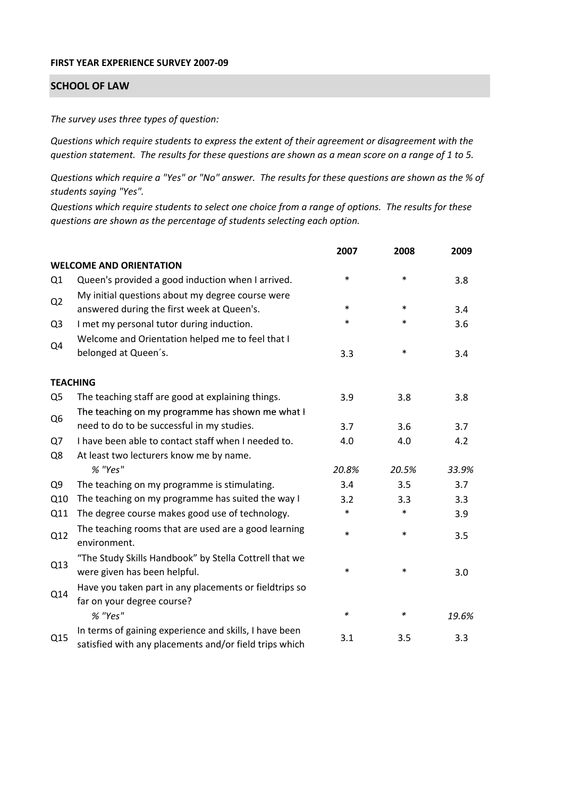## **FIRST YEAR EXPERIENCE SURVEY 2007‐09**

## **SCHOOL OF LAW**

*The survey uses three types of question:*

*Questions which require students to express the extent of their agreement or disagreement with the* question statement. The results for these questions are shown as a mean score on a range of 1 to 5.

Questions which require a "Yes" or "No" answer. The results for these questions are shown as the % of *students saying "Yes".*

Questions which require students to select one choice from a range of options. The results for these *questions are shown as the percentage of students selecting each option.*

|                |                                                                                                                  | 2007   | 2008   | 2009  |
|----------------|------------------------------------------------------------------------------------------------------------------|--------|--------|-------|
|                | <b>WELCOME AND ORIENTATION</b>                                                                                   |        |        |       |
| Q1             | Queen's provided a good induction when I arrived.                                                                | $\ast$ | $\ast$ | 3.8   |
| Q <sub>2</sub> | My initial questions about my degree course were<br>answered during the first week at Queen's.                   | $\ast$ | $\ast$ | 3.4   |
| Q <sub>3</sub> | I met my personal tutor during induction.                                                                        | $\ast$ | $\ast$ | 3.6   |
| Q4             | Welcome and Orientation helped me to feel that I<br>belonged at Queen's.                                         | 3.3    | $\ast$ | 3.4   |
|                | <b>TEACHING</b>                                                                                                  |        |        |       |
| Q <sub>5</sub> | The teaching staff are good at explaining things.                                                                | 3.9    | 3.8    | 3.8   |
|                | The teaching on my programme has shown me what I                                                                 |        |        |       |
| Q <sub>6</sub> | need to do to be successful in my studies.                                                                       | 3.7    | 3.6    | 3.7   |
| Q7             | I have been able to contact staff when I needed to.                                                              | 4.0    | 4.0    | 4.2   |
| Q8             | At least two lecturers know me by name.                                                                          |        |        |       |
|                | % "Yes"                                                                                                          | 20.8%  | 20.5%  | 33.9% |
| Q <sub>9</sub> | The teaching on my programme is stimulating.                                                                     | 3.4    | 3.5    | 3.7   |
| Q10            | The teaching on my programme has suited the way I                                                                | 3.2    | 3.3    | 3.3   |
| Q11            | The degree course makes good use of technology.                                                                  | $\ast$ | $\ast$ | 3.9   |
| Q12            | The teaching rooms that are used are a good learning<br>environment.                                             | $\ast$ | $\ast$ | 3.5   |
| Q13            | "The Study Skills Handbook" by Stella Cottrell that we<br>were given has been helpful.                           | $\ast$ | $\ast$ | 3.0   |
| Q14            | Have you taken part in any placements or fieldtrips so<br>far on your degree course?                             |        |        |       |
|                | % "Yes"                                                                                                          | $\ast$ | ∗      | 19.6% |
| Q15            | In terms of gaining experience and skills, I have been<br>satisfied with any placements and/or field trips which | 3.1    | 3.5    | 3.3   |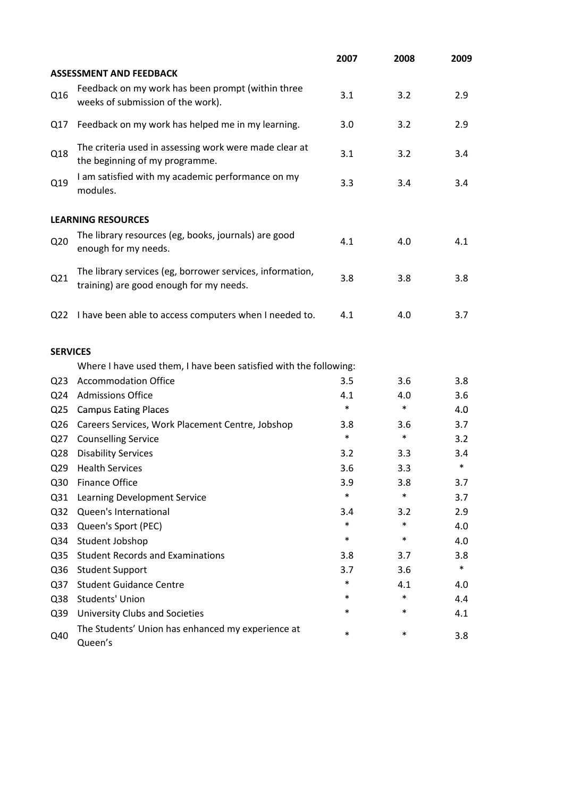|                 |                                                                                                      | 2007   | 2008   | 2009   |
|-----------------|------------------------------------------------------------------------------------------------------|--------|--------|--------|
|                 | <b>ASSESSMENT AND FEEDBACK</b>                                                                       |        |        |        |
| Q16             | Feedback on my work has been prompt (within three<br>weeks of submission of the work).               | 3.1    | 3.2    | 2.9    |
| Q17             | Feedback on my work has helped me in my learning.                                                    | 3.0    | 3.2    | 2.9    |
| Q18             | The criteria used in assessing work were made clear at<br>the beginning of my programme.             | 3.1    | 3.2    | 3.4    |
| Q19             | I am satisfied with my academic performance on my<br>modules.                                        | 3.3    | 3.4    | 3.4    |
|                 | <b>LEARNING RESOURCES</b>                                                                            |        |        |        |
| Q <sub>20</sub> | The library resources (eg, books, journals) are good<br>enough for my needs.                         | 4.1    | 4.0    | 4.1    |
| Q21             | The library services (eg, borrower services, information,<br>training) are good enough for my needs. | 3.8    | 3.8    | 3.8    |
| Q <sub>22</sub> | I have been able to access computers when I needed to.                                               | 4.1    | 4.0    | 3.7    |
| <b>SERVICES</b> |                                                                                                      |        |        |        |
|                 | Where I have used them, I have been satisfied with the following:                                    |        |        |        |
| Q <sub>23</sub> | <b>Accommodation Office</b>                                                                          | 3.5    | 3.6    | 3.8    |
| Q <sub>24</sub> | <b>Admissions Office</b>                                                                             | 4.1    | 4.0    | 3.6    |
| Q <sub>25</sub> | <b>Campus Eating Places</b>                                                                          | $\ast$ | $\ast$ | 4.0    |
| Q <sub>26</sub> | Careers Services, Work Placement Centre, Jobshop                                                     | 3.8    | 3.6    | 3.7    |
| Q <sub>27</sub> | <b>Counselling Service</b>                                                                           | $\ast$ | $\ast$ | 3.2    |
| Q <sub>28</sub> | <b>Disability Services</b>                                                                           | 3.2    | 3.3    | 3.4    |
| Q <sub>29</sub> | <b>Health Services</b>                                                                               | 3.6    | 3.3    | $\ast$ |
| Q30             | <b>Finance Office</b>                                                                                | 3.9    | 3.8    | 3.7    |
| Q31             | Learning Development Service                                                                         | $\ast$ | $\ast$ | 3.7    |
| Q <sub>32</sub> | Queen's International                                                                                | 3.4    | 3.2    | 2.9    |
| Q <sub>33</sub> | Queen's Sport (PEC)                                                                                  | $\ast$ | $\ast$ | 4.0    |
| Q34             | Student Jobshop                                                                                      | $\ast$ | $\ast$ | 4.0    |
| Q <sub>35</sub> | <b>Student Records and Examinations</b>                                                              | 3.8    | 3.7    | 3.8    |
| Q36             | <b>Student Support</b>                                                                               | 3.7    | 3.6    | $\ast$ |
| Q <sub>37</sub> | <b>Student Guidance Centre</b>                                                                       | $\ast$ | 4.1    | 4.0    |
| Q38             | <b>Students' Union</b>                                                                               | *      | $\ast$ | 4.4    |
| Q39             | University Clubs and Societies                                                                       | *      | $\ast$ | 4.1    |
| Q40             | The Students' Union has enhanced my experience at<br>Queen's                                         | $\ast$ | $\ast$ | 3.8    |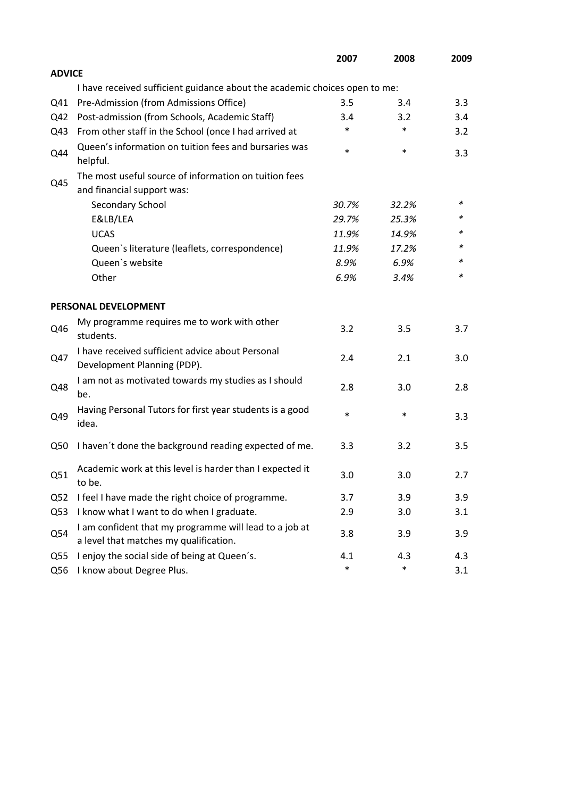|                 |                                                                                                  | 2007   | 2008   | 2009 |
|-----------------|--------------------------------------------------------------------------------------------------|--------|--------|------|
| <b>ADVICE</b>   |                                                                                                  |        |        |      |
|                 | I have received sufficient guidance about the academic choices open to me:                       |        |        |      |
| Q41             | Pre-Admission (from Admissions Office)                                                           | 3.5    | 3.4    | 3.3  |
| Q42             | Post-admission (from Schools, Academic Staff)                                                    | 3.4    | 3.2    | 3.4  |
| Q43             | From other staff in the School (once I had arrived at                                            | *      | $\ast$ | 3.2  |
| Q44             | Queen's information on tuition fees and bursaries was<br>helpful.                                | $\ast$ | $\ast$ | 3.3  |
|                 | The most useful source of information on tuition fees                                            |        |        |      |
| Q45             | and financial support was:                                                                       |        |        |      |
|                 | Secondary School                                                                                 | 30.7%  | 32.2%  | ∗    |
|                 | E&LB/LEA                                                                                         | 29.7%  | 25.3%  | *    |
|                 | <b>UCAS</b>                                                                                      | 11.9%  | 14.9%  |      |
|                 | Queen's literature (leaflets, correspondence)                                                    | 11.9%  | 17.2%  | *    |
|                 | Queen's website                                                                                  | 8.9%   | 6.9%   | *    |
|                 | Other                                                                                            | 6.9%   | 3.4%   | *    |
|                 | PERSONAL DEVELOPMENT                                                                             |        |        |      |
| Q46             | My programme requires me to work with other<br>students.                                         | 3.2    | 3.5    | 3.7  |
| Q47             | I have received sufficient advice about Personal<br>Development Planning (PDP).                  | 2.4    | 2.1    | 3.0  |
| Q48             | I am not as motivated towards my studies as I should<br>be.                                      | 2.8    | 3.0    | 2.8  |
| Q49             | Having Personal Tutors for first year students is a good<br>idea.                                | $\ast$ | $\ast$ | 3.3  |
| Q50             | I haven't done the background reading expected of me.                                            | 3.3    | 3.2    | 3.5  |
| Q51             | Academic work at this level is harder than I expected it<br>to be.                               | 3.0    | 3.0    | 2.7  |
| Q <sub>52</sub> | I feel I have made the right choice of programme.                                                | 3.7    | 3.9    | 3.9  |
| Q53             | I know what I want to do when I graduate.                                                        | 2.9    | 3.0    | 3.1  |
| Q54             | I am confident that my programme will lead to a job at<br>a level that matches my qualification. | 3.8    | 3.9    | 3.9  |
| Q <sub>55</sub> | I enjoy the social side of being at Queen's.                                                     | 4.1    | 4.3    | 4.3  |
| Q56             | I know about Degree Plus.                                                                        | $\ast$ | $\ast$ | 3.1  |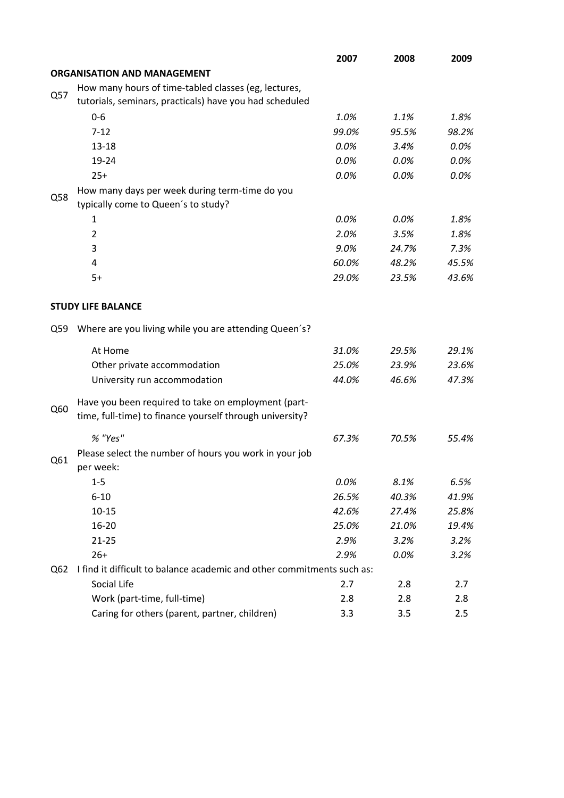|     |                                                                                                                 | 2007    | 2008    | 2009  |
|-----|-----------------------------------------------------------------------------------------------------------------|---------|---------|-------|
|     | <b>ORGANISATION AND MANAGEMENT</b>                                                                              |         |         |       |
|     | How many hours of time-tabled classes (eg, lectures,                                                            |         |         |       |
| Q57 | tutorials, seminars, practicals) have you had scheduled                                                         |         |         |       |
|     | $0-6$                                                                                                           | 1.0%    | 1.1%    | 1.8%  |
|     | $7 - 12$                                                                                                        | 99.0%   | 95.5%   | 98.2% |
|     | $13 - 18$                                                                                                       | $0.0\%$ | 3.4%    | 0.0%  |
|     | 19-24                                                                                                           | 0.0%    | $0.0\%$ | 0.0%  |
|     | $25+$                                                                                                           | 0.0%    | 0.0%    | 0.0%  |
|     | How many days per week during term-time do you                                                                  |         |         |       |
| Q58 | typically come to Queen's to study?                                                                             |         |         |       |
|     | 1                                                                                                               | 0.0%    | 0.0%    | 1.8%  |
|     | $\overline{2}$                                                                                                  | 2.0%    | 3.5%    | 1.8%  |
|     | 3                                                                                                               | 9.0%    | 24.7%   | 7.3%  |
|     | 4                                                                                                               | 60.0%   | 48.2%   | 45.5% |
|     | $5+$                                                                                                            | 29.0%   | 23.5%   | 43.6% |
|     | <b>STUDY LIFE BALANCE</b>                                                                                       |         |         |       |
| Q59 | Where are you living while you are attending Queen's?                                                           |         |         |       |
|     | At Home                                                                                                         | 31.0%   | 29.5%   | 29.1% |
|     | Other private accommodation                                                                                     | 25.0%   | 23.9%   | 23.6% |
|     | University run accommodation                                                                                    | 44.0%   | 46.6%   | 47.3% |
|     |                                                                                                                 |         |         |       |
| Q60 | Have you been required to take on employment (part-<br>time, full-time) to finance yourself through university? |         |         |       |
|     | % "Yes"                                                                                                         | 67.3%   | 70.5%   | 55.4% |
| Q61 | Please select the number of hours you work in your job<br>per week:                                             |         |         |       |
|     | $1 - 5$                                                                                                         | 0.0%    | 8.1%    | 6.5%  |
|     | $6 - 10$                                                                                                        | 26.5%   | 40.3%   | 41.9% |
|     | $10 - 15$                                                                                                       | 42.6%   | 27.4%   | 25.8% |
|     | $16 - 20$                                                                                                       | 25.0%   | 21.0%   | 19.4% |
|     | $21 - 25$                                                                                                       | 2.9%    | 3.2%    | 3.2%  |
|     | $26+$                                                                                                           | 2.9%    | 0.0%    | 3.2%  |
| Q62 | I find it difficult to balance academic and other commitments such as:                                          |         |         |       |
|     | Social Life                                                                                                     | 2.7     | 2.8     | 2.7   |
|     | Work (part-time, full-time)                                                                                     | 2.8     | 2.8     | 2.8   |
|     | Caring for others (parent, partner, children)                                                                   | 3.3     | 3.5     | 2.5   |